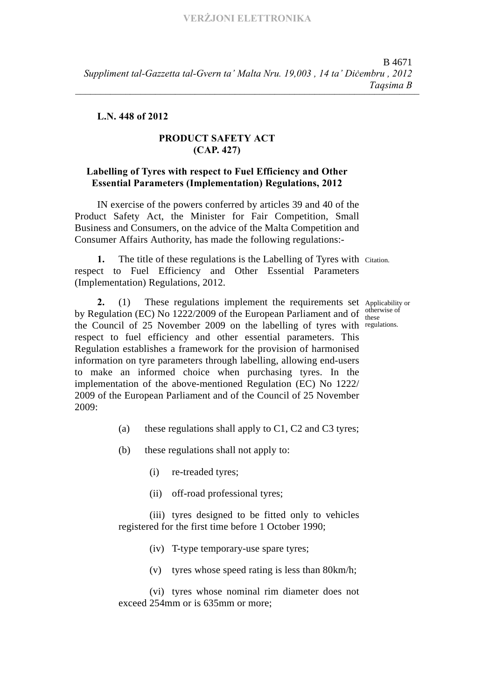## **L.N. 448 of 2012**

## **PRODUCT SAFETY ACT (CAP. 427)**

## **Labelling of Tyres with respect to Fuel Efficiency and Other Essential Parameters (Implementation) Regulations, 2012**

IN exercise of the powers conferred by articles 39 and 40 of the Product Safety Act, the Minister for Fair Competition, Small Business and Consumers, on the advice of the Malta Competition and Consumer Affairs Authority, has made the following regulations:-

**1.** The title of these regulations is the Labelling of Tyres with Citation. respect to Fuel Efficiency and Other Essential Parameters (Implementation) Regulations, 2012.

2. (1) These regulations implement the requirements set Applicability or by Regulation (EC) No 1222/2009 of the European Parliament and of  $\frac{\text{other}}{\text{these}}$ the Council of 25 November 2009 on the labelling of tyres with regulations. respect to fuel efficiency and other essential parameters. This Regulation establishes a framework for the provision of harmonised information on tyre parameters through labelling, allowing end-users to make an informed choice when purchasing tyres. In the implementation of the above-mentioned Regulation (EC) No 1222/ 2009 of the European Parliament and of the Council of 25 November 2009:

- (a) these regulations shall apply to  $C1$ ,  $C2$  and  $C3$  tyres;
- (b) these regulations shall not apply to:
	- (i) re-treaded tyres;
	- (ii) off-road professional tyres;

(iii) tyres designed to be fitted only to vehicles registered for the first time before 1 October 1990;

(iv) T-type temporary-use spare tyres;

(v) tyres whose speed rating is less than 80km/h;

(vi) tyres whose nominal rim diameter does not exceed 254mm or is 635mm or more;

otherwise of